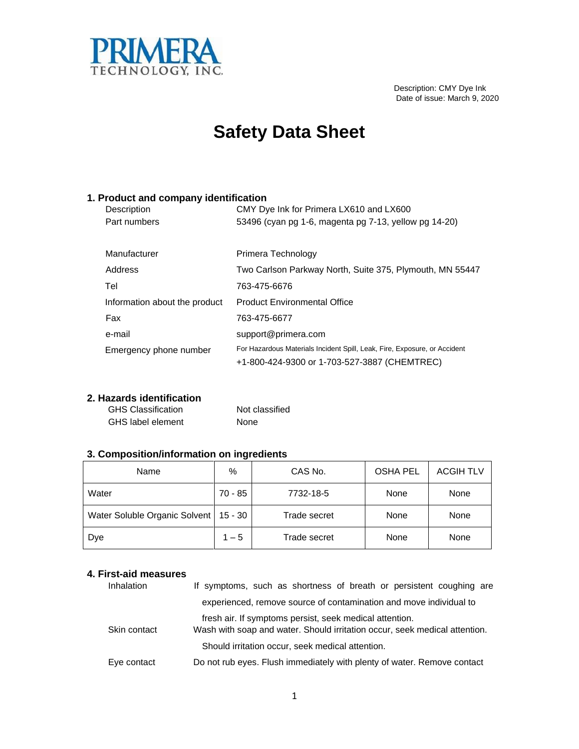

 Description: CMY Dye Ink Date of issue: March 9, 2020

## **Safety Data Sheet**

#### **1. Product and company identification**

| Description                   | CMY Dye Ink for Primera LX610 and LX600                                   |
|-------------------------------|---------------------------------------------------------------------------|
| Part numbers                  | 53496 (cyan pg 1-6, magenta pg 7-13, yellow pg 14-20)                     |
|                               |                                                                           |
| Manufacturer                  | Primera Technology                                                        |
| Address                       | Two Carlson Parkway North, Suite 375, Plymouth, MN 55447                  |
| Tel                           | 763-475-6676                                                              |
| Information about the product | <b>Product Environmental Office</b>                                       |
| Fax                           | 763-475-6677                                                              |
| e-mail                        | support@primera.com                                                       |
| Emergency phone number        | For Hazardous Materials Incident Spill, Leak, Fire, Exposure, or Accident |
|                               | +1-800-424-9300 or 1-703-527-3887 (CHEMTREC)                              |

#### **2. Hazards identification**

| <b>GHS Classification</b> | Not classified |
|---------------------------|----------------|
| GHS label element         | None           |

### **3. Composition/information on ingredients**

| Name                          | $\%$      | CAS No.      | <b>OSHA PEL</b> | <b>ACGIH TLV</b> |
|-------------------------------|-----------|--------------|-----------------|------------------|
| Water                         | 70 - 85   | 7732-18-5    | None            | None             |
| Water Soluble Organic Solvent | $15 - 30$ | Trade secret | None            | None             |
| Dye                           | $1 - 5$   | Trade secret | None            | None             |

#### **4. First-aid measures**

| Inhalation   | If symptoms, such as shortness of breath or persistent coughing are                                                                   |
|--------------|---------------------------------------------------------------------------------------------------------------------------------------|
|              | experienced, remove source of contamination and move individual to                                                                    |
| Skin contact | fresh air. If symptoms persist, seek medical attention.<br>Wash with soap and water. Should irritation occur, seek medical attention. |
|              | Should irritation occur, seek medical attention.                                                                                      |
| Eye contact  | Do not rub eyes. Flush immediately with plenty of water. Remove contact                                                               |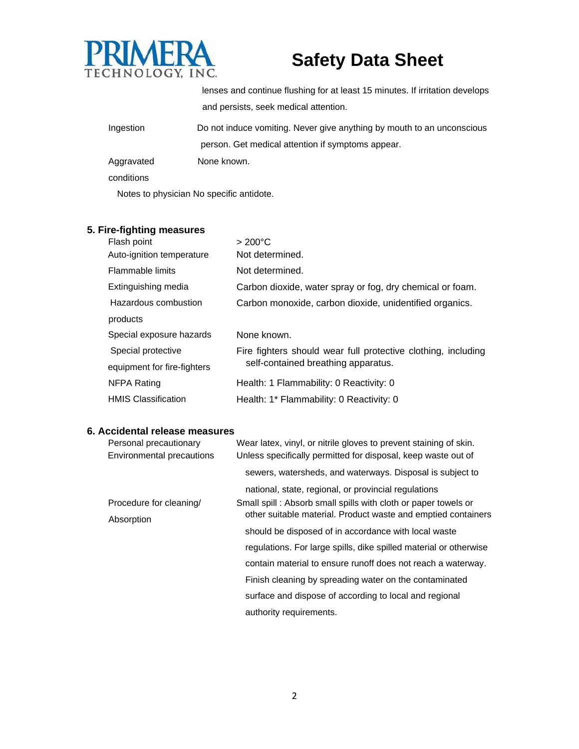

lenses and continue flushing for at least 15 minutes. If irritation develops and persists, seek medical attention.

| Ingestion  | Do not induce vomiting. Never give anything by mouth to an unconscious |
|------------|------------------------------------------------------------------------|
|            | person. Get medical attention if symptoms appear.                      |
| Aggravated | None known.                                                            |

conditions

Notes to physician No specific antidote.

### **5. Fire-fighting measures**

| Flash point                 | $>200^{\circ}$ C                                              |
|-----------------------------|---------------------------------------------------------------|
| Auto-ignition temperature   | Not determined.                                               |
| Flammable limits            | Not determined.                                               |
| Extinguishing media         | Carbon dioxide, water spray or fog, dry chemical or foam.     |
| Hazardous combustion        | Carbon monoxide, carbon dioxide, unidentified organics.       |
| products                    |                                                               |
| Special exposure hazards    | None known.                                                   |
| Special protective          | Fire fighters should wear full protective clothing, including |
| equipment for fire-fighters | self-contained breathing apparatus.                           |
| NFPA Rating                 | Health: 1 Flammability: 0 Reactivity: 0                       |
| <b>HMIS Classification</b>  | Health: 1* Flammability: 0 Reactivity: 0                      |

#### **6. Accidental release measures**

| Personal precautionary<br>Environmental precautions | Wear latex, vinyl, or nitrile gloves to prevent staining of skin.<br>Unless specifically permitted for disposal, keep waste out of |
|-----------------------------------------------------|------------------------------------------------------------------------------------------------------------------------------------|
|                                                     | sewers, watersheds, and waterways. Disposal is subject to                                                                          |
|                                                     | national, state, regional, or provincial regulations                                                                               |
| Procedure for cleaning/<br>Absorption               | Small spill: Absorb small spills with cloth or paper towels or                                                                     |
|                                                     | other suitable material. Product waste and emptied containers                                                                      |
|                                                     | should be disposed of in accordance with local waste                                                                               |
|                                                     | regulations. For large spills, dike spilled material or otherwise                                                                  |
|                                                     | contain material to ensure runoff does not reach a waterway.                                                                       |
|                                                     | Finish cleaning by spreading water on the contaminated                                                                             |
|                                                     | surface and dispose of according to local and regional                                                                             |
|                                                     | authority requirements.                                                                                                            |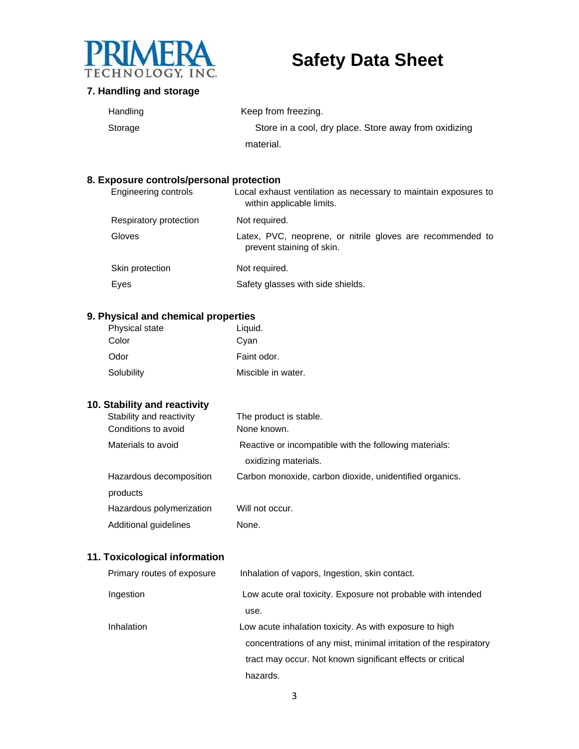

#### **7. Handling and storage**

| Handling | Keep from freezing.                                   |
|----------|-------------------------------------------------------|
| Storage  | Store in a cool, dry place. Store away from oxidizing |
|          | material.                                             |

#### **8. Exposure controls/personal protection**

| <b>Engineering controls</b> | Local exhaust ventilation as necessary to maintain exposures to<br>within applicable limits. |
|-----------------------------|----------------------------------------------------------------------------------------------|
| Respiratory protection      | Not required.                                                                                |
| Gloves                      | Latex, PVC, neoprene, or nitrile gloves are recommended to<br>prevent staining of skin.      |
| Skin protection             | Not required.                                                                                |
| Eyes                        | Safety glasses with side shields.                                                            |

### **9. Physical and chemical properties**

| <b>Physical state</b> | Liquid.            |
|-----------------------|--------------------|
| Color                 | Cyan               |
| Odor                  | Faint odor.        |
| Solubility            | Miscible in water. |

### **10. Stability and reactivity**

| Stability and reactivity | The product is stable.                                  |
|--------------------------|---------------------------------------------------------|
| Conditions to avoid      | None known.                                             |
| Materials to avoid       | Reactive or incompatible with the following materials:  |
|                          | oxidizing materials.                                    |
| Hazardous decomposition  | Carbon monoxide, carbon dioxide, unidentified organics. |
| products                 |                                                         |
| Hazardous polymerization | Will not occur.                                         |
| Additional guidelines    | None.                                                   |

### **11. Toxicological information**

| Primary routes of exposure | Inhalation of vapors, Ingestion, skin contact.                    |
|----------------------------|-------------------------------------------------------------------|
| Ingestion                  | Low acute oral toxicity. Exposure not probable with intended      |
|                            | use.                                                              |
| Inhalation                 | Low acute inhalation toxicity. As with exposure to high           |
|                            | concentrations of any mist, minimal irritation of the respiratory |
|                            | tract may occur. Not known significant effects or critical        |
|                            | hazards.                                                          |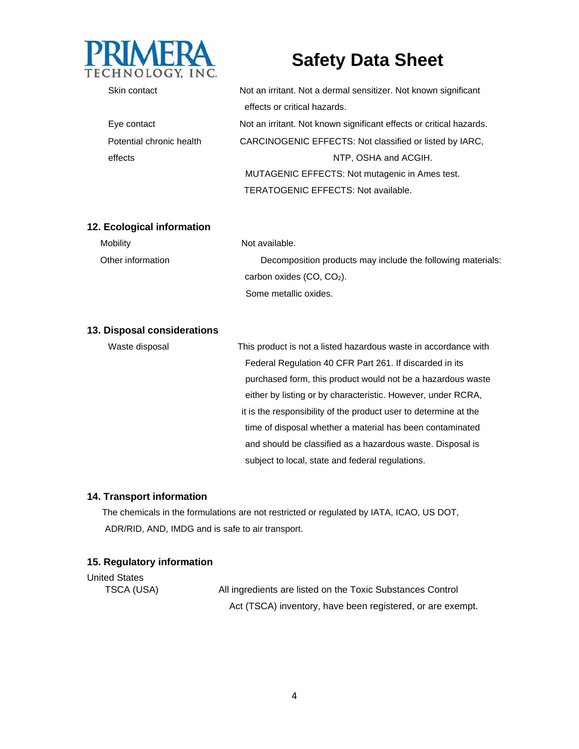

| Skin contact             | Not an irritant. Not a dermal sensitizer. Not known significant     |  |
|--------------------------|---------------------------------------------------------------------|--|
|                          | effects or critical hazards.                                        |  |
| Eye contact              | Not an irritant. Not known significant effects or critical hazards. |  |
| Potential chronic health | CARCINOGENIC EFFECTS: Not classified or listed by IARC,             |  |
| effects                  | NTP, OSHA and ACGIH.                                                |  |
|                          | MUTAGENIC EFFECTS: Not mutagenic in Ames test.                      |  |
|                          | <b>TERATOGENIC EFFECTS: Not available.</b>                          |  |

#### **12. Ecological information**

| Mobility          | Not available.                                              |
|-------------------|-------------------------------------------------------------|
| Other information | Decomposition products may include the following materials: |
|                   | carbon oxides $(CO, CO2)$ .                                 |
|                   | Some metallic oxides.                                       |

#### **13. Disposal considerations**

| Waste disposal | This product is not a listed hazardous waste in accordance with  |
|----------------|------------------------------------------------------------------|
|                | Federal Regulation 40 CFR Part 261. If discarded in its          |
|                | purchased form, this product would not be a hazardous waste      |
|                | either by listing or by characteristic. However, under RCRA,     |
|                | it is the responsibility of the product user to determine at the |
|                | time of disposal whether a material has been contaminated        |
|                | and should be classified as a hazardous waste. Disposal is       |
|                | subject to local, state and federal regulations.                 |

#### **14. Transport information**

The chemicals in the formulations are not restricted or regulated by IATA, ICAO, US DOT, ADR/RID, AND, IMDG and is safe to air transport.

#### **15. Regulatory information**

United States

TSCA (USA) All ingredients are listed on the Toxic Substances Control Act (TSCA) inventory, have been registered, or are exempt.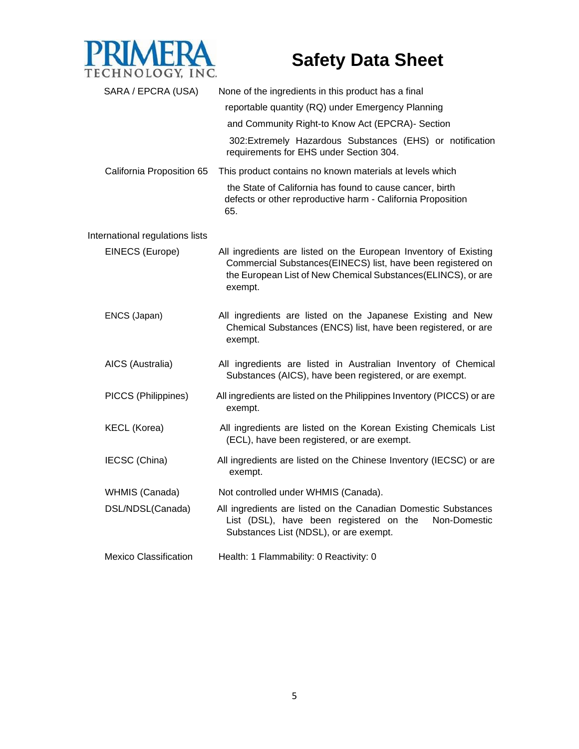

| SARA / EPCRA (USA)              | None of the ingredients in this product has a final<br>reportable quantity (RQ) under Emergency Planning<br>and Community Right-to Know Act (EPCRA)- Section                                               |
|---------------------------------|------------------------------------------------------------------------------------------------------------------------------------------------------------------------------------------------------------|
|                                 | 302: Extremely Hazardous Substances (EHS) or notification<br>requirements for EHS under Section 304.                                                                                                       |
| California Proposition 65       | This product contains no known materials at levels which                                                                                                                                                   |
|                                 | the State of California has found to cause cancer, birth<br>defects or other reproductive harm - California Proposition<br>65.                                                                             |
| International regulations lists |                                                                                                                                                                                                            |
| EINECS (Europe)                 | All ingredients are listed on the European Inventory of Existing<br>Commercial Substances(EINECS) list, have been registered on<br>the European List of New Chemical Substances(ELINCS), or are<br>exempt. |
| ENCS (Japan)                    | All ingredients are listed on the Japanese Existing and New<br>Chemical Substances (ENCS) list, have been registered, or are<br>exempt.                                                                    |
| AICS (Australia)                | All ingredients are listed in Australian Inventory of Chemical<br>Substances (AICS), have been registered, or are exempt.                                                                                  |
| PICCS (Philippines)             | All ingredients are listed on the Philippines Inventory (PICCS) or are<br>exempt.                                                                                                                          |
| <b>KECL (Korea)</b>             | All ingredients are listed on the Korean Existing Chemicals List<br>(ECL), have been registered, or are exempt.                                                                                            |
| IECSC (China)                   | All ingredients are listed on the Chinese Inventory (IECSC) or are<br>exempt.                                                                                                                              |
| WHMIS (Canada)                  | Not controlled under WHMIS (Canada).                                                                                                                                                                       |
| DSL/NDSL(Canada)                | All ingredients are listed on the Canadian Domestic Substances<br>List (DSL), have been registered on the<br>Non-Domestic<br>Substances List (NDSL), or are exempt.                                        |
| <b>Mexico Classification</b>    | Health: 1 Flammability: 0 Reactivity: 0                                                                                                                                                                    |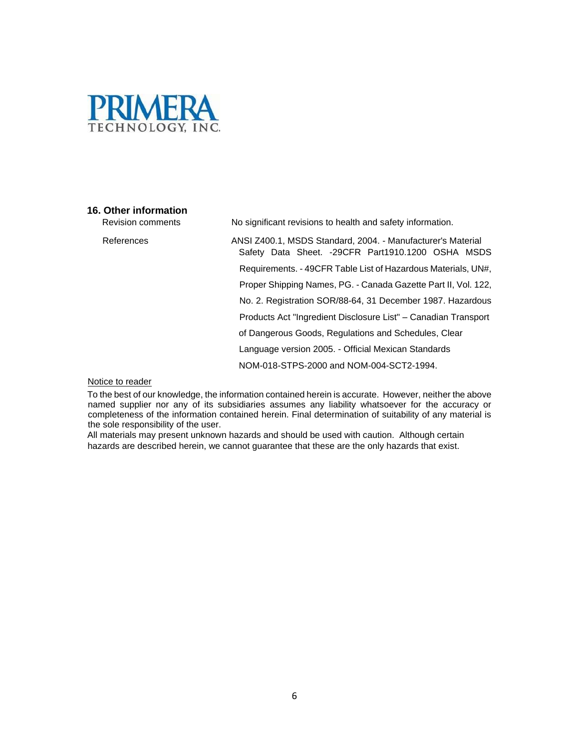

#### **16. Other information**

Revision comments No significant revisions to health and safety information.

References ANSI Z400.1, MSDS Standard, 2004. - Manufacturer's Material Safety Data Sheet. -29CFR Part1910.1200 OSHA MSDS Requirements. - 49CFR Table List of Hazardous Materials, UN#, Proper Shipping Names, PG. - Canada Gazette Part II, Vol. 122, No. 2. Registration SOR/88-64, 31 December 1987. Hazardous Products Act "Ingredient Disclosure List" – Canadian Transport of Dangerous Goods, Regulations and Schedules, Clear Language version 2005. - Official Mexican Standards NOM-018-STPS-2000 and NOM-004-SCT2-1994.

Notice to reader

To the best of our knowledge, the information contained herein is accurate. However, neither the above named supplier nor any of its subsidiaries assumes any liability whatsoever for the accuracy or completeness of the information contained herein. Final determination of suitability of any material is the sole responsibility of the user.

All materials may present unknown hazards and should be used with caution. Although certain hazards are described herein, we cannot guarantee that these are the only hazards that exist.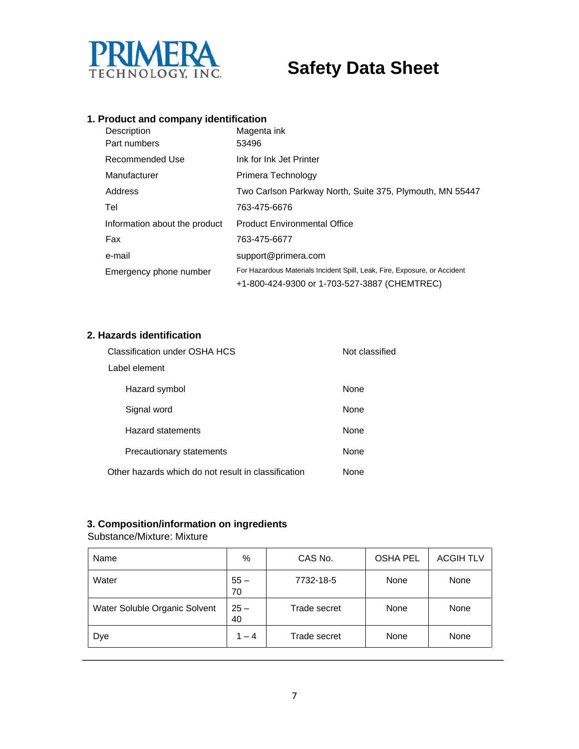

### **1. Product and company identification**

| Description<br>Part numbers   | Magenta ink<br>53496                                                                                                      |
|-------------------------------|---------------------------------------------------------------------------------------------------------------------------|
| Recommended Use               | Ink for Ink Jet Printer                                                                                                   |
| Manufacturer                  | Primera Technology                                                                                                        |
| Address                       | Two Carlson Parkway North, Suite 375, Plymouth, MN 55447                                                                  |
| Tel                           | 763-475-6676                                                                                                              |
| Information about the product | <b>Product Environmental Office</b>                                                                                       |
| Fax                           | 763-475-6677                                                                                                              |
| e-mail                        | support@primera.com                                                                                                       |
| Emergency phone number        | For Hazardous Materials Incident Spill, Leak, Fire, Exposure, or Accident<br>+1-800-424-9300 or 1-703-527-3887 (CHEMTREC) |

#### **2. Hazards identification**

| Classification under OSHA HCS                       | Not classified |  |
|-----------------------------------------------------|----------------|--|
| Label element                                       |                |  |
| Hazard symbol                                       | <b>None</b>    |  |
| Signal word                                         | <b>None</b>    |  |
| Hazard statements                                   | <b>None</b>    |  |
| Precautionary statements                            | None           |  |
| Other hazards which do not result in classification | None           |  |

### **3. Composition/information on ingredients**

Substance/Mixture: Mixture

| Name                          | %            | CAS No.      | <b>OSHA PEL</b> | <b>ACGIH TLV</b> |
|-------------------------------|--------------|--------------|-----------------|------------------|
| Water                         | $55 -$<br>70 | 7732-18-5    | None            | None             |
| Water Soluble Organic Solvent | $25 -$<br>40 | Trade secret | None            | None             |
| Dye                           | $1 - 4$      | Trade secret | None            | None             |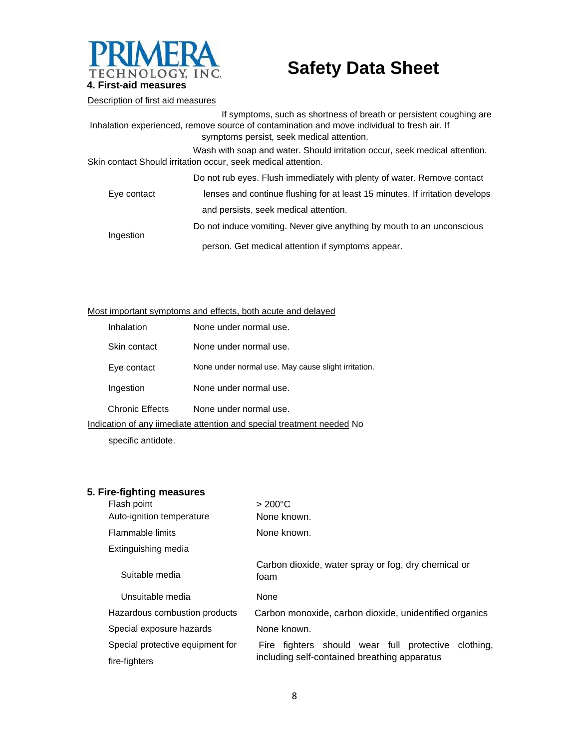

#### Description of first aid measures

|                                                                                             | If symptoms, such as shortness of breath or persistent coughing are          |  |
|---------------------------------------------------------------------------------------------|------------------------------------------------------------------------------|--|
| Inhalation experienced, remove source of contamination and move individual to fresh air. If |                                                                              |  |
|                                                                                             | symptoms persist, seek medical attention.                                    |  |
|                                                                                             | Wash with soap and water. Should irritation occur, seek medical attention.   |  |
|                                                                                             | Skin contact Should irritation occur, seek medical attention.                |  |
|                                                                                             | Do not rub eyes. Flush immediately with plenty of water. Remove contact      |  |
| Eye contact                                                                                 | lenses and continue flushing for at least 15 minutes. If irritation develops |  |
|                                                                                             | and persists, seek medical attention.                                        |  |
| Ingestion                                                                                   | Do not induce vomiting. Never give anything by mouth to an unconscious       |  |

person. Get medical attention if symptoms appear.

#### Most important symptoms and effects, both acute and delayed

|                                                                       | Inhalation      | None under normal use.                              |
|-----------------------------------------------------------------------|-----------------|-----------------------------------------------------|
|                                                                       | Skin contact    | None under normal use.                              |
|                                                                       | Eye contact     | None under normal use. May cause slight irritation. |
|                                                                       | Ingestion       | None under normal use.                              |
|                                                                       | Chronic Effects | None under normal use.                              |
| Indication of any iimediate attention and special treatment needed No |                 |                                                     |

specific antidote.

#### **5. Fire-fighting measures**

| Flash point                      | $>200^{\circ}$ C                                                                                       |  |  |
|----------------------------------|--------------------------------------------------------------------------------------------------------|--|--|
| Auto-ignition temperature        | None known.                                                                                            |  |  |
| Flammable limits                 | None known.                                                                                            |  |  |
| Extinguishing media              |                                                                                                        |  |  |
| Suitable media                   | Carbon dioxide, water spray or fog, dry chemical or<br>foam                                            |  |  |
| Unsuitable media                 | None                                                                                                   |  |  |
| Hazardous combustion products    | Carbon monoxide, carbon dioxide, unidentified organics                                                 |  |  |
| Special exposure hazards         | None known.                                                                                            |  |  |
| Special protective equipment for | Fire fighters should wear full protective<br>clothing,<br>including self-contained breathing apparatus |  |  |
| fire-fighters                    |                                                                                                        |  |  |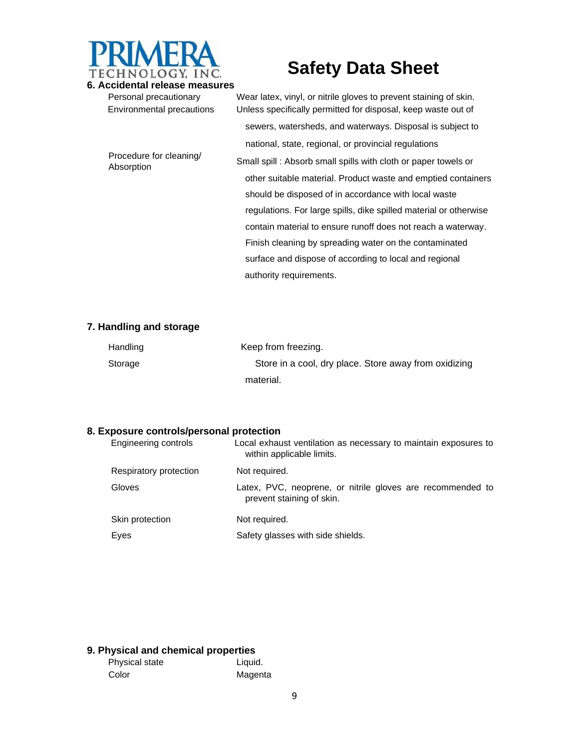

**6. Accidental release measures**  Personal precautionary Wear latex, vinyl, or nitrile gloves to prevent staining of skin. Environmental precautions Unless specifically permitted for disposal, keep waste out of sewers, watersheds, and waterways. Disposal is subject to national, state, regional, or provincial regulations Procedure for cleaning/ Absorption Clearing Small spill : Absorb small spills with cloth or paper towels or Absorption other suitable material. Product waste and emptied containers should be disposed of in accordance with local waste regulations. For large spills, dike spilled material or otherwise contain material to ensure runoff does not reach a waterway. Finish cleaning by spreading water on the contaminated surface and dispose of according to local and regional

#### **7. Handling and storage**

| Handling | Keep from freezing.                                   |
|----------|-------------------------------------------------------|
| Storage  | Store in a cool, dry place. Store away from oxidizing |
|          | material.                                             |

authority requirements.

#### **8. Exposure controls/personal protection**

| Engineering controls   | Local exhaust ventilation as necessary to maintain exposures to<br>within applicable limits. |
|------------------------|----------------------------------------------------------------------------------------------|
| Respiratory protection | Not required.                                                                                |
| Gloves                 | Latex, PVC, neoprene, or nitrile gloves are recommended to<br>prevent staining of skin.      |
| Skin protection        | Not required.                                                                                |
| Eyes                   | Safety glasses with side shields.                                                            |

#### **9. Physical and chemical properties**

| Physical state | Liquid. |
|----------------|---------|
| Color          | Magenta |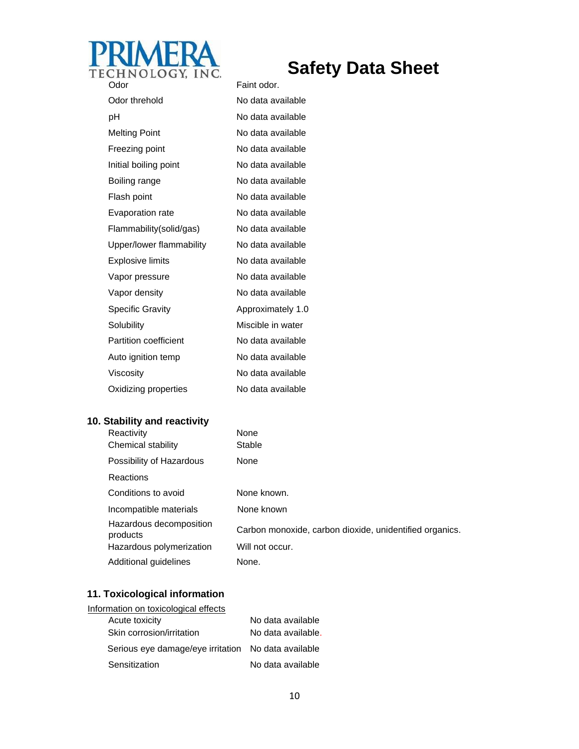

Odor Faint odor. Odor threhold No data available pH No data available Melting Point No data available Freezing point No data available Initial boiling point No data available Boiling range No data available Flash point No data available Evaporation rate No data available Flammability(solid/gas) No data available Upper/lower flammability No data available Explosive limits No data available Vapor pressure No data available Vapor density No data available Specific Gravity **Approximately 1.0** Solubility Miscible in water Partition coefficient No data available Auto ignition temp No data available Viscosity **No data available** Oxidizing properties No data available

#### **10. Stability and reactivity**

| Reactivity                          | None                                                    |
|-------------------------------------|---------------------------------------------------------|
| Chemical stability                  | Stable                                                  |
| Possibility of Hazardous            | None                                                    |
| <b>Reactions</b>                    |                                                         |
| Conditions to avoid                 | None known.                                             |
| Incompatible materials              | None known                                              |
| Hazardous decomposition<br>products | Carbon monoxide, carbon dioxide, unidentified organics. |
| Hazardous polymerization            | Will not occur.                                         |
| Additional guidelines               | None.                                                   |

#### **11. Toxicological information**

| Information on toxicological effects                |                    |
|-----------------------------------------------------|--------------------|
| Acute toxicity                                      | No data available  |
| Skin corrosion/irritation                           | No data available. |
| Serious eye damage/eye irritation No data available |                    |
| Sensitization                                       | No data available  |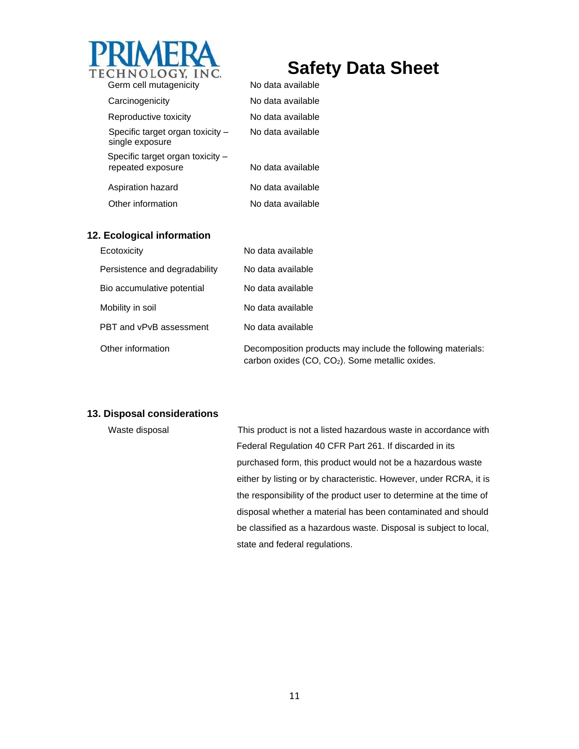

| Germ cell mutagenicity                                | No data available |
|-------------------------------------------------------|-------------------|
| Carcinogenicity                                       | No data available |
| Reproductive toxicity                                 | No data available |
| Specific target organ toxicity -<br>single exposure   | No data available |
| Specific target organ toxicity -<br>repeated exposure | No data available |
| Aspiration hazard                                     | No data available |
| Other information                                     | No data available |
|                                                       |                   |

#### **12. Ecological information**

| Ecotoxicity                   | No data available                                                                                                |
|-------------------------------|------------------------------------------------------------------------------------------------------------------|
| Persistence and degradability | No data available                                                                                                |
| Bio accumulative potential    | No data available                                                                                                |
| Mobility in soil              | No data available                                                                                                |
| PBT and vPvB assessment       | No data available                                                                                                |
| Other information             | Decomposition products may include the following materials:<br>carbon oxides $(CO, CO2)$ . Some metallic oxides. |

#### **13. Disposal considerations**

Waste disposal This product is not a listed hazardous waste in accordance with Federal Regulation 40 CFR Part 261. If discarded in its purchased form, this product would not be a hazardous waste either by listing or by characteristic. However, under RCRA, it is the responsibility of the product user to determine at the time of disposal whether a material has been contaminated and should be classified as a hazardous waste. Disposal is subject to local, state and federal regulations.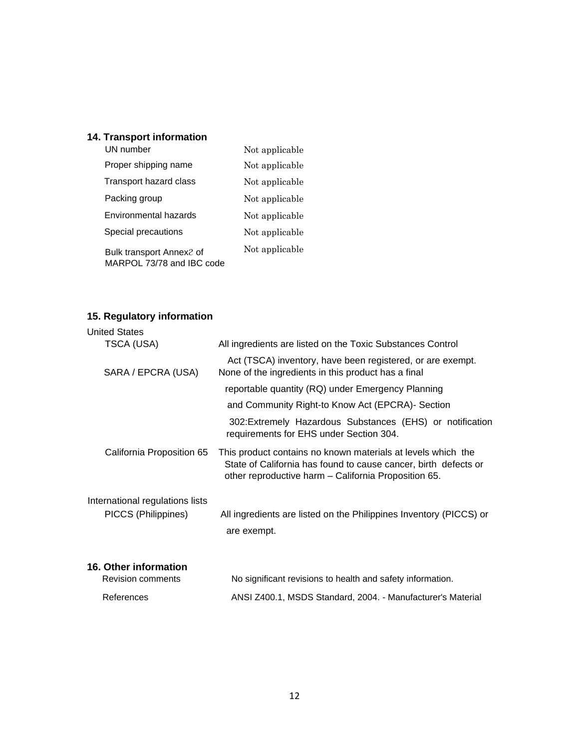## **14. Transport information**

| UN number                                             | Not applicable |
|-------------------------------------------------------|----------------|
| Proper shipping name                                  | Not applicable |
| Transport hazard class                                | Not applicable |
| Packing group                                         | Not applicable |
| Environmental hazards                                 | Not applicable |
| Special precautions                                   | Not applicable |
| Bulk transport Annex2 of<br>MARPOL 73/78 and IBC code | Not applicable |

## **15. Regulatory information**

| <b>United States</b>            |                                                                                                                                                                                         |
|---------------------------------|-----------------------------------------------------------------------------------------------------------------------------------------------------------------------------------------|
| TSCA (USA)                      | All ingredients are listed on the Toxic Substances Control                                                                                                                              |
| SARA / EPCRA (USA)              | Act (TSCA) inventory, have been registered, or are exempt.<br>None of the ingredients in this product has a final                                                                       |
|                                 | reportable quantity (RQ) under Emergency Planning                                                                                                                                       |
|                                 | and Community Right-to Know Act (EPCRA)- Section                                                                                                                                        |
|                                 | 302: Extremely Hazardous Substances (EHS) or notification<br>requirements for EHS under Section 304.                                                                                    |
| California Proposition 65       | This product contains no known materials at levels which the<br>State of California has found to cause cancer, birth defects or<br>other reproductive harm - California Proposition 65. |
| International regulations lists |                                                                                                                                                                                         |
| PICCS (Philippines)             | All ingredients are listed on the Philippines Inventory (PICCS) or<br>are exempt.                                                                                                       |
| 16. Other information           |                                                                                                                                                                                         |
| Revision comments               | No significant revisions to health and safety information.                                                                                                                              |
| References                      | ANSI Z400.1, MSDS Standard, 2004. - Manufacturer's Material                                                                                                                             |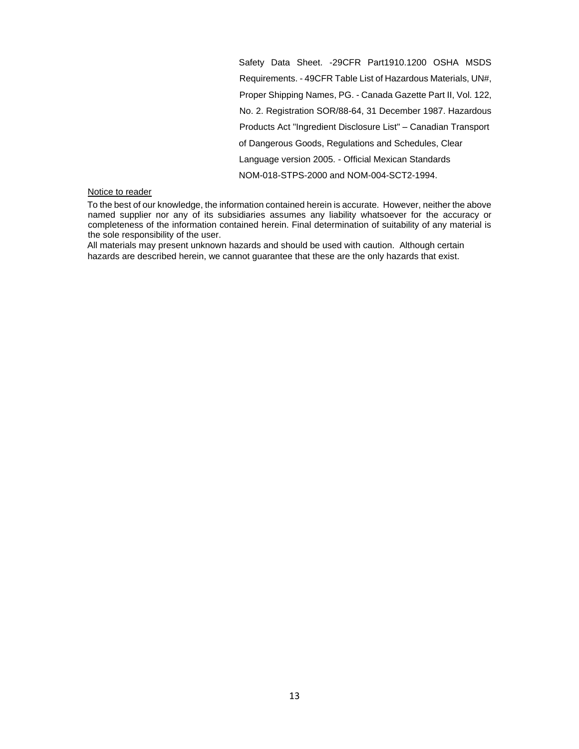Safety Data Sheet. -29CFR Part1910.1200 OSHA MSDS Requirements. - 49CFR Table List of Hazardous Materials, UN#, Proper Shipping Names, PG. - Canada Gazette Part II, Vol. 122, No. 2. Registration SOR/88-64, 31 December 1987. Hazardous Products Act "Ingredient Disclosure List" – Canadian Transport of Dangerous Goods, Regulations and Schedules, Clear Language version 2005. - Official Mexican Standards NOM-018-STPS-2000 and NOM-004-SCT2-1994.

#### Notice to reader

To the best of our knowledge, the information contained herein is accurate. However, neither the above named supplier nor any of its subsidiaries assumes any liability whatsoever for the accuracy or completeness of the information contained herein. Final determination of suitability of any material is the sole responsibility of the user.

All materials may present unknown hazards and should be used with caution. Although certain hazards are described herein, we cannot guarantee that these are the only hazards that exist.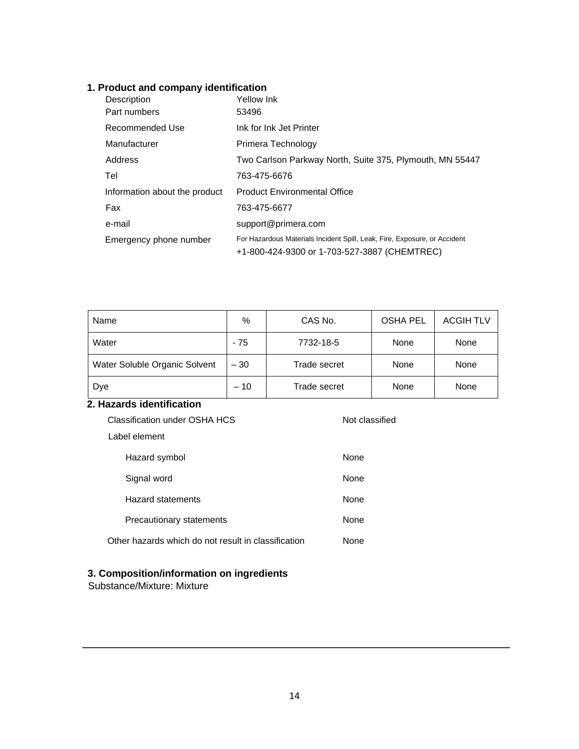### **1. Product and company identification**

| Description                   | Yellow Ink                                                                |
|-------------------------------|---------------------------------------------------------------------------|
| Part numbers                  | 53496                                                                     |
| Recommended Use               | Ink for Ink Jet Printer                                                   |
| Manufacturer                  | Primera Technology                                                        |
| Address                       | Two Carlson Parkway North, Suite 375, Plymouth, MN 55447                  |
| Tel                           | 763-475-6676                                                              |
| Information about the product | <b>Product Environmental Office</b>                                       |
| Fax                           | 763-475-6677                                                              |
| e-mail                        | support@primera.com                                                       |
| Emergency phone number        | For Hazardous Materials Incident Spill, Leak, Fire, Exposure, or Accident |
|                               | +1-800-424-9300 or 1-703-527-3887 (CHEMTREC)                              |

| Name                          | %     | CAS No.      | <b>OSHA PEL</b> | <b>ACGIH TLV</b> |
|-------------------------------|-------|--------------|-----------------|------------------|
| Water                         | - 75  | 7732-18-5    | None            | None             |
| Water Soluble Organic Solvent | $-30$ | Trade secret | None            | None             |
| Dye                           | $-10$ | Trade secret | None            | None             |

## **2. Hazards identification**

| Classification under OSHA HCS<br>Not classified     |      |  |
|-----------------------------------------------------|------|--|
| Label element                                       |      |  |
| Hazard symbol                                       | None |  |
| Signal word                                         | None |  |
| <b>Hazard statements</b>                            | None |  |
| Precautionary statements                            | None |  |
| Other hazards which do not result in classification | None |  |

### **3. Composition/information on ingredients**

Substance/Mixture: Mixture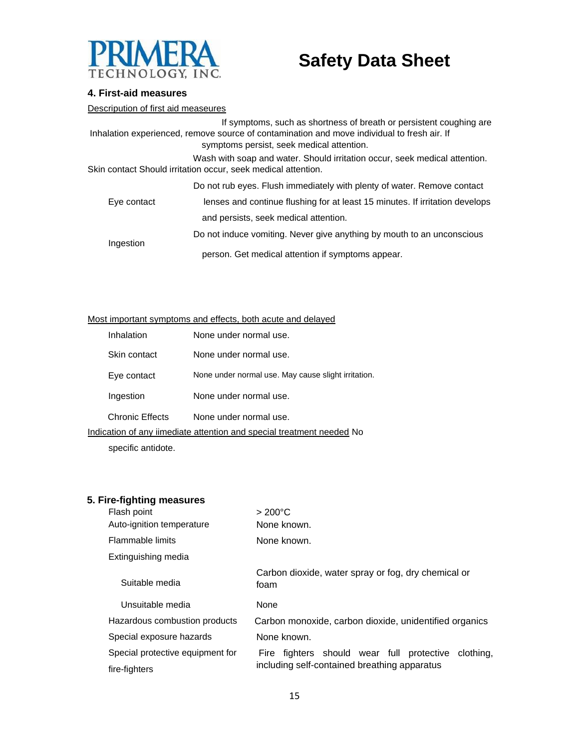

#### **4. First-aid measures**

Descripution of first aid measeures

If symptoms, such as shortness of breath or persistent coughing are Inhalation experienced, remove source of contamination and move individual to fresh air. If symptoms persist, seek medical attention. Wash with soap and water. Should irritation occur, seek medical attention. Skin contact Should irritation occur, seek medical attention. Do not rub eyes. Flush immediately with plenty of water. Remove contact

| Eye contact | lenses and continue flushing for at least 15 minutes. If irritation develops |  |  |  |
|-------------|------------------------------------------------------------------------------|--|--|--|
|             | and persists, seek medical attention.                                        |  |  |  |
| Ingestion   | Do not induce vomiting. Never give anything by mouth to an unconscious       |  |  |  |
|             | person. Get medical attention if symptoms appear.                            |  |  |  |

#### Most important symptoms and effects, both acute and delayed

|                                                                       | Inhalation             | None under normal use.                              |
|-----------------------------------------------------------------------|------------------------|-----------------------------------------------------|
|                                                                       | Skin contact           | None under normal use.                              |
|                                                                       | Eye contact            | None under normal use. May cause slight irritation. |
|                                                                       | Ingestion              | None under normal use.                              |
|                                                                       | <b>Chronic Effects</b> | None under normal use.                              |
| Indication of any iimediate attention and special treatment needed No |                        |                                                     |

specific antidote.

#### **5. Fire-fighting measures**

| Flash point                      | $>200^{\circ}$ C                                            |  |
|----------------------------------|-------------------------------------------------------------|--|
| Auto-ignition temperature        | None known.                                                 |  |
| Flammable limits                 | None known.                                                 |  |
| Extinguishing media              |                                                             |  |
| Suitable media                   | Carbon dioxide, water spray or fog, dry chemical or<br>foam |  |
| Unsuitable media                 | None                                                        |  |
| Hazardous combustion products    | Carbon monoxide, carbon dioxide, unidentified organics      |  |
| Special exposure hazards         | None known.                                                 |  |
| Special protective equipment for | Fire fighters should wear full protective<br>clothing.      |  |
| fire-fighters                    | including self-contained breathing apparatus                |  |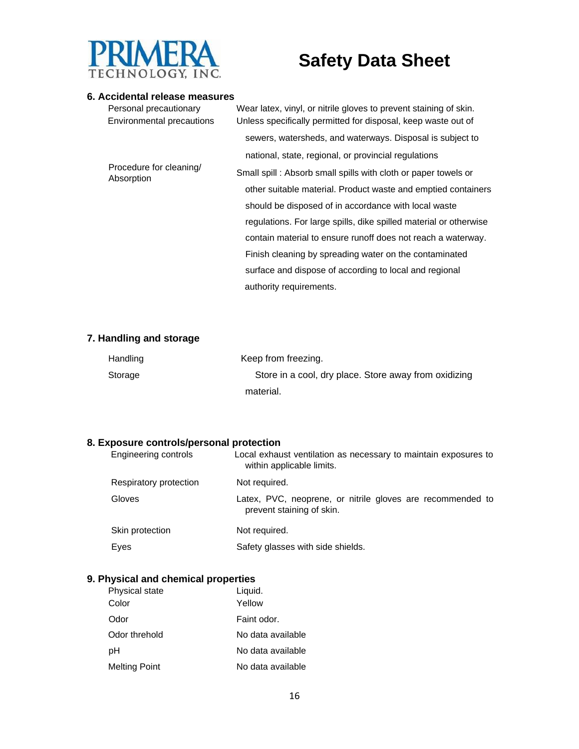

#### **6. Accidental release measures**

| Personal precautionary<br>Environmental precautions | Wear latex, vinyl, or nitrile gloves to prevent staining of skin.<br>Unless specifically permitted for disposal, keep waste out of |
|-----------------------------------------------------|------------------------------------------------------------------------------------------------------------------------------------|
|                                                     | sewers, watersheds, and waterways. Disposal is subject to                                                                          |
|                                                     | national, state, regional, or provincial regulations                                                                               |
| Procedure for cleaning/<br>Absorption               | Small spill: Absorb small spills with cloth or paper towels or                                                                     |
|                                                     | other suitable material. Product waste and emptied containers                                                                      |
|                                                     | should be disposed of in accordance with local waste                                                                               |
|                                                     | regulations. For large spills, dike spilled material or otherwise                                                                  |
|                                                     | contain material to ensure runoff does not reach a waterway.                                                                       |
|                                                     | Finish cleaning by spreading water on the contaminated                                                                             |
|                                                     | surface and dispose of according to local and regional                                                                             |
|                                                     | authority requirements.                                                                                                            |

#### **7. Handling and storage**

| Handling | Keep from freezing.                                   |
|----------|-------------------------------------------------------|
| Storage  | Store in a cool, dry place. Store away from oxidizing |
|          | material.                                             |

#### **8. Exposure controls/personal protection**

| Engineering controls   | Local exhaust ventilation as necessary to maintain exposures to<br>within applicable limits. |
|------------------------|----------------------------------------------------------------------------------------------|
| Respiratory protection | Not required.                                                                                |
| Gloves                 | Latex, PVC, neoprene, or nitrile gloves are recommended to<br>prevent staining of skin.      |
| Skin protection        | Not required.                                                                                |
| Eyes                   | Safety glasses with side shields.                                                            |

### **9. Physical and chemical properties**

| Physical state       | Liquid.           |
|----------------------|-------------------|
| Color                | Yellow            |
| Odor                 | Faint odor.       |
| Odor threhold        | No data available |
| рH                   | No data available |
| <b>Melting Point</b> | No data available |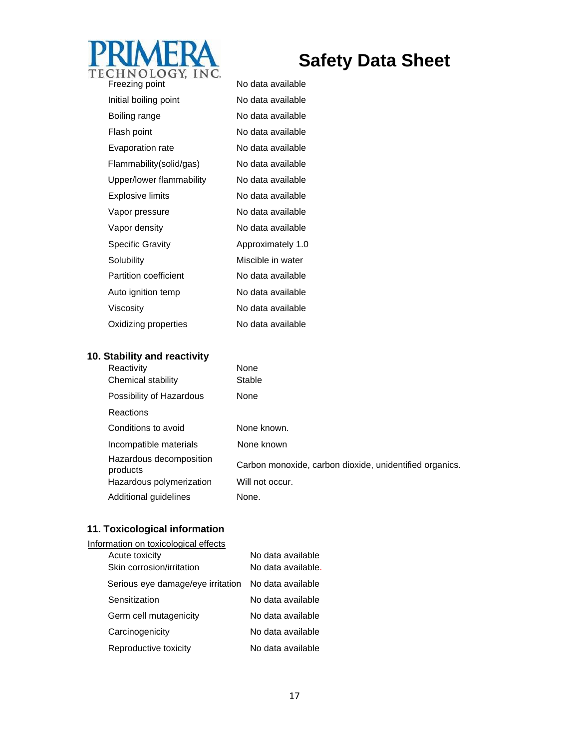

| Freezing point               | No data available |
|------------------------------|-------------------|
| Initial boiling point        | No data available |
| Boiling range                | No data available |
| Flash point                  | No data available |
| Evaporation rate             | No data available |
| Flammability(solid/gas)      | No data available |
| Upper/lower flammability     | No data available |
| <b>Explosive limits</b>      | No data available |
| Vapor pressure               | No data available |
| Vapor density                | No data available |
| <b>Specific Gravity</b>      | Approximately 1.0 |
| Solubility                   | Miscible in water |
| <b>Partition coefficient</b> | No data available |
| Auto ignition temp           | No data available |
| Viscosity                    | No data available |
| Oxidizing properties         | No data available |
|                              |                   |

## **10. Stability and reactivity**

| Reactivity                          | None                                                    |
|-------------------------------------|---------------------------------------------------------|
| Chemical stability                  | Stable                                                  |
| Possibility of Hazardous            | None                                                    |
| <b>Reactions</b>                    |                                                         |
| Conditions to avoid                 | None known.                                             |
| Incompatible materials              | None known                                              |
| Hazardous decomposition<br>products | Carbon monoxide, carbon dioxide, unidentified organics. |
| Hazardous polymerization            | Will not occur.                                         |
| Additional guidelines               | None.                                                   |

## **11. Toxicological information**

| Information on toxicological effects |                    |
|--------------------------------------|--------------------|
| Acute toxicity                       | No data available  |
| Skin corrosion/irritation            | No data available. |
| Serious eye damage/eye irritation    | No data available  |
| Sensitization                        | No data available  |
| Germ cell mutagenicity               | No data available  |
| Carcinogenicity                      | No data available  |
| Reproductive toxicity                | No data available  |
|                                      |                    |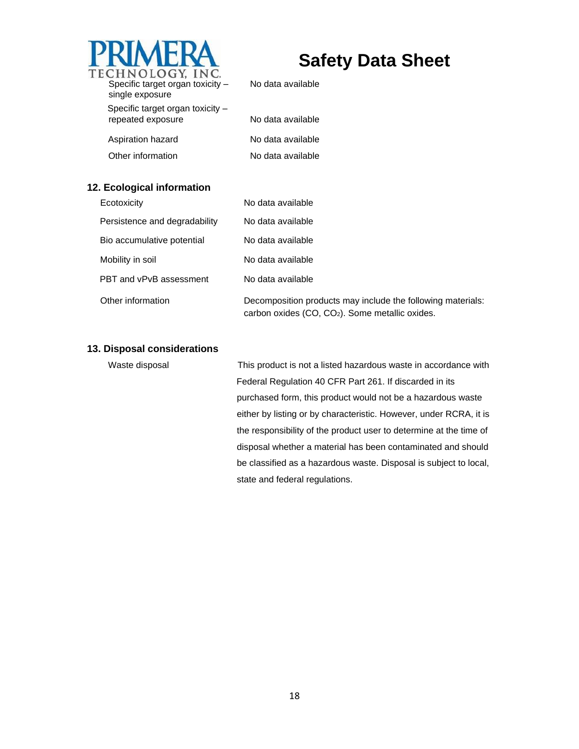

No data available

| single exposure                  |                   |
|----------------------------------|-------------------|
| Specific target organ toxicity - |                   |
| repeated exposure                | No data available |
|                                  |                   |

| No data available |
|-------------------|
| No data available |
| No data available |

#### **12. Ecological information**

Aspiration hazard Other information

| Ecotoxicity                   | No data available                                                                                                          |
|-------------------------------|----------------------------------------------------------------------------------------------------------------------------|
| Persistence and degradability | No data available                                                                                                          |
| Bio accumulative potential    | No data available                                                                                                          |
| Mobility in soil              | No data available                                                                                                          |
| PBT and vPvB assessment       | No data available                                                                                                          |
| Other information             | Decomposition products may include the following materials:<br>carbon oxides (CO, CO <sub>2</sub> ). Some metallic oxides. |

#### **13. Disposal considerations**

Waste disposal This product is not a listed hazardous waste in accordance with Federal Regulation 40 CFR Part 261. If discarded in its purchased form, this product would not be a hazardous waste either by listing or by characteristic. However, under RCRA, it is the responsibility of the product user to determine at the time of disposal whether a material has been contaminated and should be classified as a hazardous waste. Disposal is subject to local, state and federal regulations.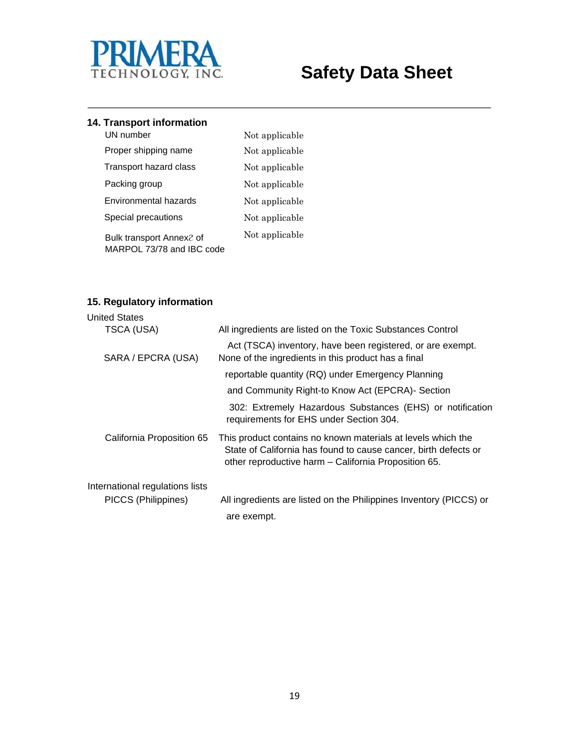

## **14. Transport information**

| UN number                                             | Not applicable |
|-------------------------------------------------------|----------------|
| Proper shipping name                                  | Not applicable |
| Transport hazard class                                | Not applicable |
| Packing group                                         | Not applicable |
| Environmental hazards                                 | Not applicable |
| Special precautions                                   | Not applicable |
| Bulk transport Annex2 of<br>MARPOL 73/78 and IBC code | Not applicable |

#### **15. Regulatory information**

| <b>United States</b>            |                                                                                                                                                                                         |
|---------------------------------|-----------------------------------------------------------------------------------------------------------------------------------------------------------------------------------------|
| TSCA (USA)                      | All ingredients are listed on the Toxic Substances Control                                                                                                                              |
| SARA / EPCRA (USA)              | Act (TSCA) inventory, have been registered, or are exempt.<br>None of the ingredients in this product has a final                                                                       |
|                                 | reportable quantity (RQ) under Emergency Planning                                                                                                                                       |
|                                 | and Community Right-to Know Act (EPCRA)- Section                                                                                                                                        |
|                                 | 302: Extremely Hazardous Substances (EHS) or notification<br>requirements for EHS under Section 304.                                                                                    |
| California Proposition 65       | This product contains no known materials at levels which the<br>State of California has found to cause cancer, birth defects or<br>other reproductive harm - California Proposition 65. |
| International regulations lists |                                                                                                                                                                                         |
| PICCS (Philippines)             | All ingredients are listed on the Philippines Inventory (PICCS) or                                                                                                                      |
|                                 | are exempt.                                                                                                                                                                             |